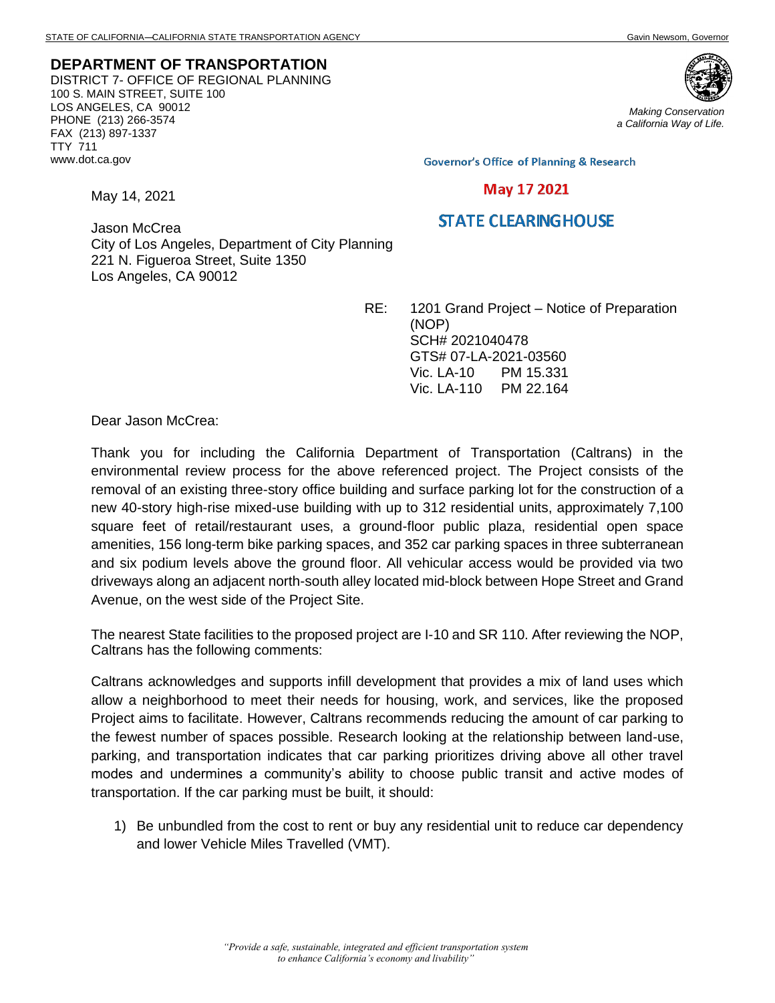**DEPARTMENT OF TRANSPORTATION** DISTRICT 7- OFFICE OF REGIONAL PLANNING 100 S. MAIN STREET, SUITE 100 LOS ANGELES, CA 90012 PHONE (213) 266-3574 FAX (213) 897-1337 TTY 711 www.dot.ca.gov



*Making Conservation a California Way of Life.*

**Governor's Office of Planning & Research** 

## May 17 2021

## **STATE CLEARING HOUSE**

Jason McCrea City of Los Angeles, Department of City Planning 221 N. Figueroa Street, Suite 1350 Los Angeles, CA 90012

> RE: 1201 Grand Project – Notice of Preparation (NOP) SCH# 2021040478 GTS# 07-LA-2021-03560 Vic. LA-10 PM 15.331 Vic. LA-110 PM 22.164

Dear Jason McCrea:

May 14, 2021

Thank you for including the California Department of Transportation (Caltrans) in the environmental review process for the above referenced project. The Project consists of the removal of an existing three-story office building and surface parking lot for the construction of a new 40-story high-rise mixed-use building with up to 312 residential units, approximately 7,100 square feet of retail/restaurant uses, a ground-floor public plaza, residential open space amenities, 156 long-term bike parking spaces, and 352 car parking spaces in three subterranean and six podium levels above the ground floor. All vehicular access would be provided via two driveways along an adjacent north-south alley located mid-block between Hope Street and Grand Avenue, on the west side of the Project Site.

The nearest State facilities to the proposed project are I-10 and SR 110. After reviewing the NOP, Caltrans has the following comments:

Caltrans acknowledges and supports infill development that provides a mix of land uses which allow a neighborhood to meet their needs for housing, work, and services, like the proposed Project aims to facilitate. However, Caltrans recommends reducing the amount of car parking to the fewest number of spaces possible. Research looking at the relationship between land-use, parking, and transportation indicates that car parking prioritizes driving above all other travel modes and undermines a community's ability to choose public transit and active modes of transportation. If the car parking must be built, it should:

1) Be unbundled from the cost to rent or buy any residential unit to reduce car dependency and lower Vehicle Miles Travelled (VMT).